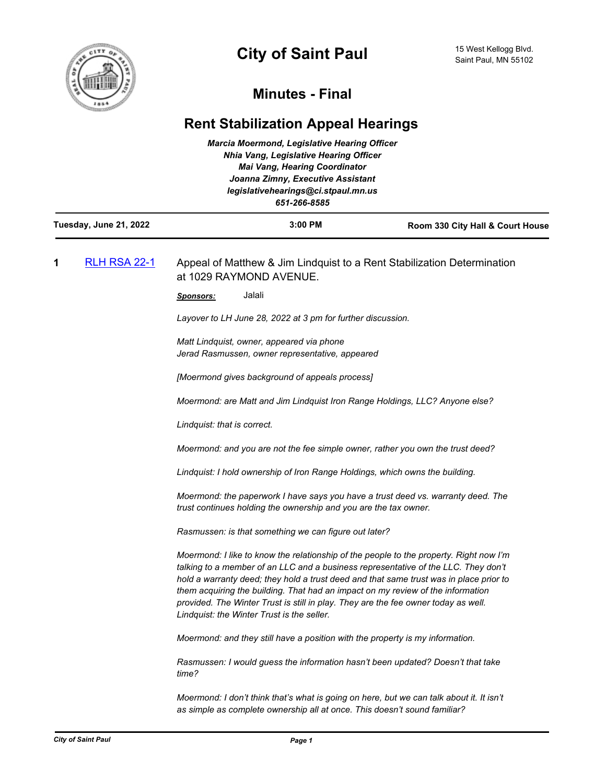

## **Minutes - Final**

## **Rent Stabilization Appeal Hearings**

| <b>Marcia Moermond, Legislative Hearing Officer</b><br><b>Nhia Vang, Legislative Hearing Officer</b><br><b>Mai Vang, Hearing Coordinator</b><br>Joanna Zimny, Executive Assistant<br>legislativehearings@ci.stpaul.mn.us<br>651-266-8585 |                     |                                                                                                                                                                                                                                                                                                                                                                                                                                                                                               |                                  |
|------------------------------------------------------------------------------------------------------------------------------------------------------------------------------------------------------------------------------------------|---------------------|-----------------------------------------------------------------------------------------------------------------------------------------------------------------------------------------------------------------------------------------------------------------------------------------------------------------------------------------------------------------------------------------------------------------------------------------------------------------------------------------------|----------------------------------|
| Tuesday, June 21, 2022                                                                                                                                                                                                                   |                     | $3:00$ PM                                                                                                                                                                                                                                                                                                                                                                                                                                                                                     | Room 330 City Hall & Court House |
| 1                                                                                                                                                                                                                                        | <b>RLH RSA 22-1</b> | Appeal of Matthew & Jim Lindquist to a Rent Stabilization Determination<br>at 1029 RAYMOND AVENUE.                                                                                                                                                                                                                                                                                                                                                                                            |                                  |
|                                                                                                                                                                                                                                          |                     | Jalali<br><u>Sponsors:</u>                                                                                                                                                                                                                                                                                                                                                                                                                                                                    |                                  |
|                                                                                                                                                                                                                                          |                     | Layover to LH June 28, 2022 at 3 pm for further discussion.                                                                                                                                                                                                                                                                                                                                                                                                                                   |                                  |
|                                                                                                                                                                                                                                          |                     | Matt Lindquist, owner, appeared via phone<br>Jerad Rasmussen, owner representative, appeared                                                                                                                                                                                                                                                                                                                                                                                                  |                                  |
|                                                                                                                                                                                                                                          |                     | [Moermond gives background of appeals process]                                                                                                                                                                                                                                                                                                                                                                                                                                                |                                  |
|                                                                                                                                                                                                                                          |                     | Moermond: are Matt and Jim Lindquist Iron Range Holdings, LLC? Anyone else?                                                                                                                                                                                                                                                                                                                                                                                                                   |                                  |
|                                                                                                                                                                                                                                          |                     | Lindquist: that is correct.                                                                                                                                                                                                                                                                                                                                                                                                                                                                   |                                  |
|                                                                                                                                                                                                                                          |                     | Moermond: and you are not the fee simple owner, rather you own the trust deed?                                                                                                                                                                                                                                                                                                                                                                                                                |                                  |
|                                                                                                                                                                                                                                          |                     | Lindquist: I hold ownership of Iron Range Holdings, which owns the building.                                                                                                                                                                                                                                                                                                                                                                                                                  |                                  |
|                                                                                                                                                                                                                                          |                     | Moermond: the paperwork I have says you have a trust deed vs. warranty deed. The<br>trust continues holding the ownership and you are the tax owner.                                                                                                                                                                                                                                                                                                                                          |                                  |
|                                                                                                                                                                                                                                          |                     | Rasmussen: is that something we can figure out later?                                                                                                                                                                                                                                                                                                                                                                                                                                         |                                  |
|                                                                                                                                                                                                                                          |                     | Moermond: I like to know the relationship of the people to the property. Right now I'm<br>talking to a member of an LLC and a business representative of the LLC. They don't<br>hold a warranty deed; they hold a trust deed and that same trust was in place prior to<br>them acquiring the building. That had an impact on my review of the information<br>provided. The Winter Trust is still in play. They are the fee owner today as well.<br>Lindquist: the Winter Trust is the seller. |                                  |
|                                                                                                                                                                                                                                          |                     | Moermond: and they still have a position with the property is my information.                                                                                                                                                                                                                                                                                                                                                                                                                 |                                  |
|                                                                                                                                                                                                                                          |                     | Rasmussen: I would guess the information hasn't been updated? Doesn't that take<br>time?                                                                                                                                                                                                                                                                                                                                                                                                      |                                  |
|                                                                                                                                                                                                                                          |                     | Moermond: I don't think that's what is going on here, but we can talk about it. It isn't<br>as simple as complete ownership all at once. This doesn't sound familiar?                                                                                                                                                                                                                                                                                                                         |                                  |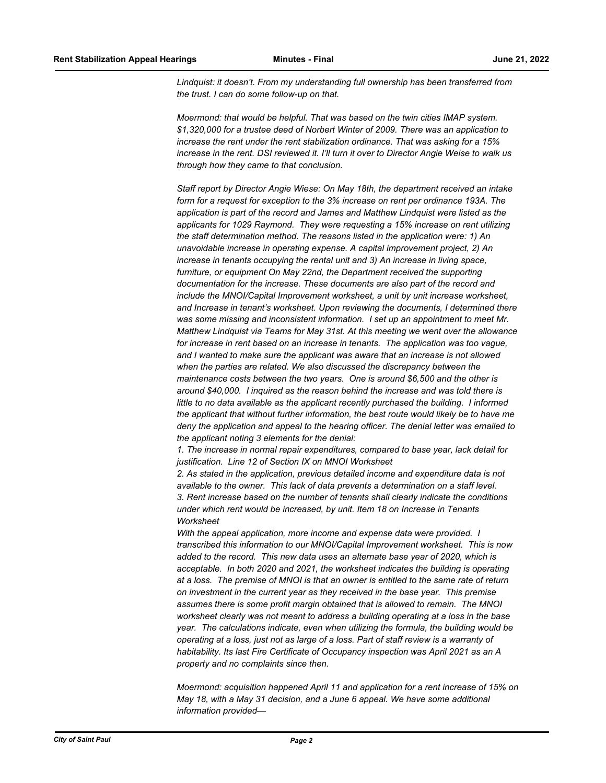*Lindquist: it doesn't. From my understanding full ownership has been transferred from the trust. I can do some follow-up on that.*

*Moermond: that would be helpful. That was based on the twin cities IMAP system. \$1,320,000 for a trustee deed of Norbert Winter of 2009. There was an application to increase the rent under the rent stabilization ordinance. That was asking for a 15% increase in the rent. DSI reviewed it. I'll turn it over to Director Angie Weise to walk us through how they came to that conclusion.*

*Staff report by Director Angie Wiese: On May 18th, the department received an intake form for a request for exception to the 3% increase on rent per ordinance 193A. The application is part of the record and James and Matthew Lindquist were listed as the applicants for 1029 Raymond. They were requesting a 15% increase on rent utilizing the staff determination method. The reasons listed in the application were: 1) An unavoidable increase in operating expense. A capital improvement project, 2) An increase in tenants occupying the rental unit and 3) An increase in living space, furniture, or equipment On May 22nd, the Department received the supporting documentation for the increase. These documents are also part of the record and include the MNOI/Capital Improvement worksheet, a unit by unit increase worksheet, and Increase in tenant's worksheet. Upon reviewing the documents, I determined there was some missing and inconsistent information. I set up an appointment to meet Mr. Matthew Lindquist via Teams for May 31st. At this meeting we went over the allowance for increase in rent based on an increase in tenants. The application was too vague, and I wanted to make sure the applicant was aware that an increase is not allowed when the parties are related. We also discussed the discrepancy between the maintenance costs between the two years. One is around \$6,500 and the other is around \$40,000. I inquired as the reason behind the increase and was told there is little to no data available as the applicant recently purchased the building. I informed the applicant that without further information, the best route would likely be to have me deny the application and appeal to the hearing officer. The denial letter was emailed to the applicant noting 3 elements for the denial:*

*1. The increase in normal repair expenditures, compared to base year, lack detail for justification. Line 12 of Section IX on MNOI Worksheet* 

*2. As stated in the application, previous detailed income and expenditure data is not available to the owner. This lack of data prevents a determination on a staff level. 3. Rent increase based on the number of tenants shall clearly indicate the conditions under which rent would be increased, by unit. Item 18 on Increase in Tenants Worksheet*

*With the appeal application, more income and expense data were provided. I transcribed this information to our MNOI/Capital Improvement worksheet. This is now added to the record. This new data uses an alternate base year of 2020, which is acceptable. In both 2020 and 2021, the worksheet indicates the building is operating at a loss. The premise of MNOI is that an owner is entitled to the same rate of return on investment in the current year as they received in the base year. This premise assumes there is some profit margin obtained that is allowed to remain. The MNOI worksheet clearly was not meant to address a building operating at a loss in the base year. The calculations indicate, even when utilizing the formula, the building would be operating at a loss, just not as large of a loss. Part of staff review is a warranty of habitability. Its last Fire Certificate of Occupancy inspection was April 2021 as an A property and no complaints since then.* 

*Moermond: acquisition happened April 11 and application for a rent increase of 15% on May 18, with a May 31 decision, and a June 6 appeal. We have some additional information provided—*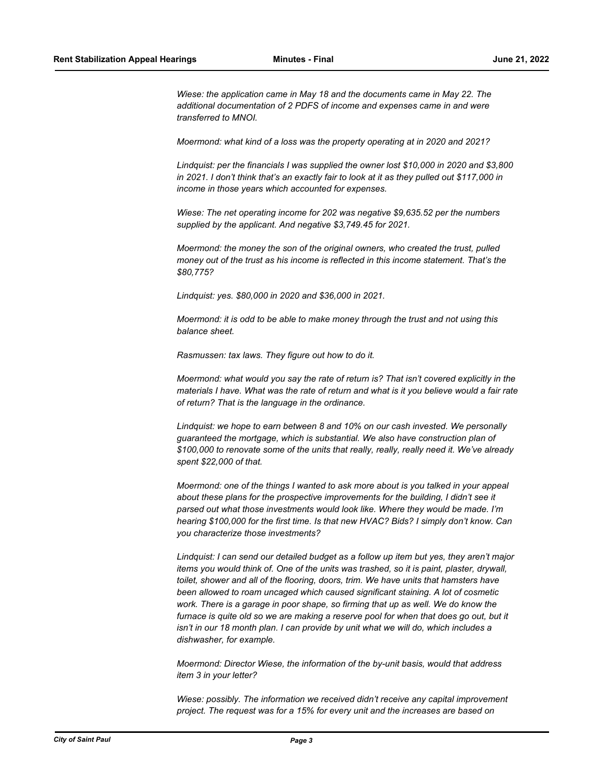*Wiese: the application came in May 18 and the documents came in May 22. The additional documentation of 2 PDFS of income and expenses came in and were transferred to MNOI.*

*Moermond: what kind of a loss was the property operating at in 2020 and 2021?*

*Lindquist: per the financials I was supplied the owner lost \$10,000 in 2020 and \$3,800 in 2021. I don't think that's an exactly fair to look at it as they pulled out \$117,000 in income in those years which accounted for expenses.*

*Wiese: The net operating income for 202 was negative \$9,635.52 per the numbers supplied by the applicant. And negative \$3,749.45 for 2021.* 

*Moermond: the money the son of the original owners, who created the trust, pulled money out of the trust as his income is reflected in this income statement. That's the \$80,775?*

*Lindquist: yes. \$80,000 in 2020 and \$36,000 in 2021.* 

*Moermond: it is odd to be able to make money through the trust and not using this balance sheet.*

*Rasmussen: tax laws. They figure out how to do it.* 

*Moermond: what would you say the rate of return is? That isn't covered explicitly in the materials I have. What was the rate of return and what is it you believe would a fair rate of return? That is the language in the ordinance.* 

*Lindquist: we hope to earn between 8 and 10% on our cash invested. We personally guaranteed the mortgage, which is substantial. We also have construction plan of \$100,000 to renovate some of the units that really, really, really need it. We've already spent \$22,000 of that.* 

*Moermond: one of the things I wanted to ask more about is you talked in your appeal about these plans for the prospective improvements for the building, I didn't see it parsed out what those investments would look like. Where they would be made. I'm hearing \$100,000 for the first time. Is that new HVAC? Bids? I simply don't know. Can you characterize those investments?*

*Lindquist: I can send our detailed budget as a follow up item but yes, they aren't major items you would think of. One of the units was trashed, so it is paint, plaster, drywall, toilet, shower and all of the flooring, doors, trim. We have units that hamsters have been allowed to roam uncaged which caused significant staining. A lot of cosmetic work. There is a garage in poor shape, so firming that up as well. We do know the*  furnace is quite old so we are making a reserve pool for when that does go out, but it *isn't in our 18 month plan. I can provide by unit what we will do, which includes a dishwasher, for example.*

*Moermond: Director Wiese, the information of the by-unit basis, would that address item 3 in your letter?*

*Wiese: possibly. The information we received didn't receive any capital improvement project. The request was for a 15% for every unit and the increases are based on*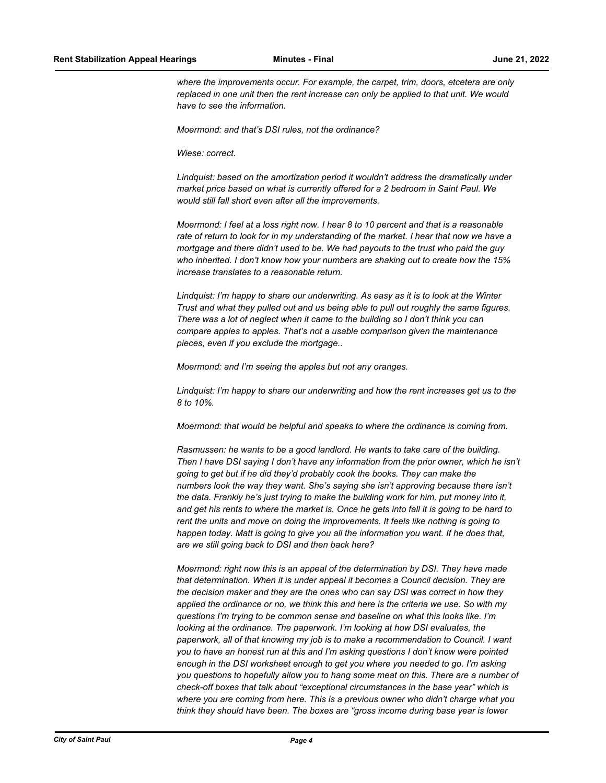*where the improvements occur. For example, the carpet, trim, doors, etcetera are only replaced in one unit then the rent increase can only be applied to that unit. We would have to see the information.* 

*Moermond: and that's DSI rules, not the ordinance?*

*Wiese: correct.*

*Lindquist: based on the amortization period it wouldn't address the dramatically under market price based on what is currently offered for a 2 bedroom in Saint Paul. We would still fall short even after all the improvements.* 

*Moermond: I feel at a loss right now. I hear 8 to 10 percent and that is a reasonable rate of return to look for in my understanding of the market. I hear that now we have a mortgage and there didn't used to be. We had payouts to the trust who paid the guy who inherited. I don't know how your numbers are shaking out to create how the 15% increase translates to a reasonable return.* 

*Lindquist: I'm happy to share our underwriting. As easy as it is to look at the Winter Trust and what they pulled out and us being able to pull out roughly the same figures. There was a lot of neglect when it came to the building so I don't think you can compare apples to apples. That's not a usable comparison given the maintenance pieces, even if you exclude the mortgage..*

*Moermond: and I'm seeing the apples but not any oranges.*

*Lindquist: I'm happy to share our underwriting and how the rent increases get us to the 8 to 10%.* 

*Moermond: that would be helpful and speaks to where the ordinance is coming from.*

*Rasmussen: he wants to be a good landlord. He wants to take care of the building. Then I have DSI saying I don't have any information from the prior owner, which he isn't going to get but if he did they'd probably cook the books. They can make the numbers look the way they want. She's saying she isn't approving because there isn't the data. Frankly he's just trying to make the building work for him, put money into it, and get his rents to where the market is. Once he gets into fall it is going to be hard to rent the units and move on doing the improvements. It feels like nothing is going to happen today. Matt is going to give you all the information you want. If he does that, are we still going back to DSI and then back here?* 

*Moermond: right now this is an appeal of the determination by DSI. They have made that determination. When it is under appeal it becomes a Council decision. They are the decision maker and they are the ones who can say DSI was correct in how they applied the ordinance or no, we think this and here is the criteria we use. So with my questions I'm trying to be common sense and baseline on what this looks like. I'm looking at the ordinance. The paperwork. I'm looking at how DSI evaluates, the paperwork, all of that knowing my job is to make a recommendation to Council. I want you to have an honest run at this and I'm asking questions I don't know were pointed enough in the DSI worksheet enough to get you where you needed to go. I'm asking you questions to hopefully allow you to hang some meat on this. There are a number of check-off boxes that talk about "exceptional circumstances in the base year" which is where you are coming from here. This is a previous owner who didn't charge what you think they should have been. The boxes are "gross income during base year is lower*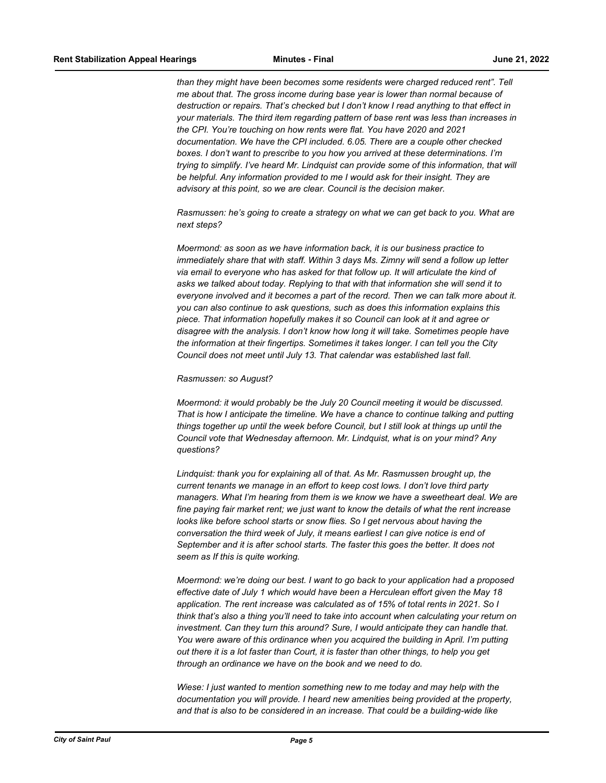*than they might have been becomes some residents were charged reduced rent". Tell me about that. The gross income during base year is lower than normal because of destruction or repairs. That's checked but I don't know I read anything to that effect in your materials. The third item regarding pattern of base rent was less than increases in the CPI. You're touching on how rents were flat. You have 2020 and 2021 documentation. We have the CPI included. 6.05. There are a couple other checked boxes. I don't want to prescribe to you how you arrived at these determinations. I'm trying to simplify. I've heard Mr. Lindquist can provide some of this information, that will be helpful. Any information provided to me I would ask for their insight. They are advisory at this point, so we are clear. Council is the decision maker.* 

*Rasmussen: he's going to create a strategy on what we can get back to you. What are next steps?*

*Moermond: as soon as we have information back, it is our business practice to immediately share that with staff. Within 3 days Ms. Zimny will send a follow up letter via email to everyone who has asked for that follow up. It will articulate the kind of asks we talked about today. Replying to that with that information she will send it to everyone involved and it becomes a part of the record. Then we can talk more about it. you can also continue to ask questions, such as does this information explains this piece. That information hopefully makes it so Council can look at it and agree or disagree with the analysis. I don't know how long it will take. Sometimes people have the information at their fingertips. Sometimes it takes longer. I can tell you the City Council does not meet until July 13. That calendar was established last fall.* 

## *Rasmussen: so August?*

*Moermond: it would probably be the July 20 Council meeting it would be discussed. That is how I anticipate the timeline. We have a chance to continue talking and putting things together up until the week before Council, but I still look at things up until the Council vote that Wednesday afternoon. Mr. Lindquist, what is on your mind? Any questions?*

*Lindquist: thank you for explaining all of that. As Mr. Rasmussen brought up, the current tenants we manage in an effort to keep cost lows. I don't love third party managers. What I'm hearing from them is we know we have a sweetheart deal. We are fine paying fair market rent; we just want to know the details of what the rent increase looks like before school starts or snow flies. So I get nervous about having the conversation the third week of July, it means earliest I can give notice is end of September and it is after school starts. The faster this goes the better. It does not seem as If this is quite working.*

*Moermond: we're doing our best. I want to go back to your application had a proposed effective date of July 1 which would have been a Herculean effort given the May 18 application. The rent increase was calculated as of 15% of total rents in 2021. So I think that's also a thing you'll need to take into account when calculating your return on investment. Can they turn this around? Sure, I would anticipate they can handle that. You were aware of this ordinance when you acquired the building in April. I'm putting out there it is a lot faster than Court, it is faster than other things, to help you get through an ordinance we have on the book and we need to do.* 

*Wiese: I just wanted to mention something new to me today and may help with the documentation you will provide. I heard new amenities being provided at the property, and that is also to be considered in an increase. That could be a building-wide like*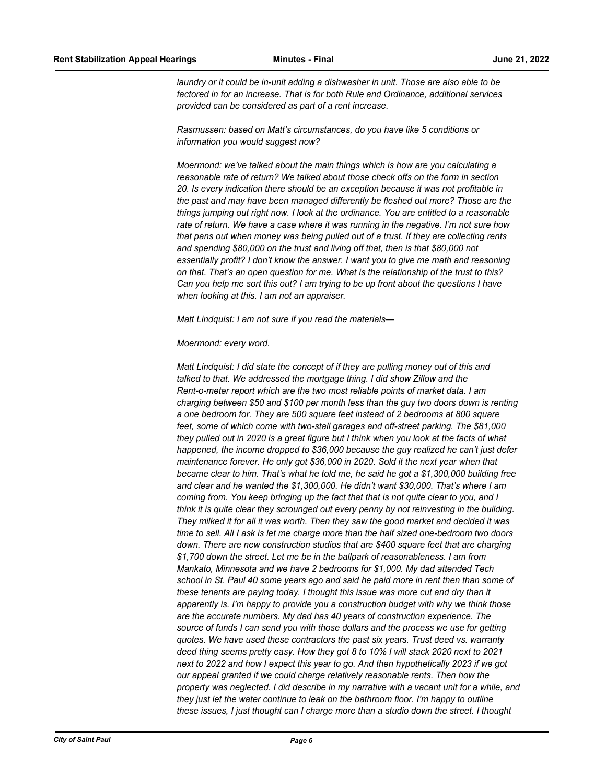*laundry or it could be in-unit adding a dishwasher in unit. Those are also able to be factored in for an increase. That is for both Rule and Ordinance, additional services provided can be considered as part of a rent increase.* 

*Rasmussen: based on Matt's circumstances, do you have like 5 conditions or information you would suggest now?*

*Moermond: we've talked about the main things which is how are you calculating a reasonable rate of return? We talked about those check offs on the form in section 20. Is every indication there should be an exception because it was not profitable in the past and may have been managed differently be fleshed out more? Those are the things jumping out right now. I look at the ordinance. You are entitled to a reasonable rate of return. We have a case where it was running in the negative. I'm not sure how that pans out when money was being pulled out of a trust. If they are collecting rents and spending \$80,000 on the trust and living off that, then is that \$80,000 not essentially profit? I don't know the answer. I want you to give me math and reasoning on that. That's an open question for me. What is the relationship of the trust to this? Can you help me sort this out? I am trying to be up front about the questions I have when looking at this. I am not an appraiser.* 

*Matt Lindquist: I am not sure if you read the materials—*

## *Moermond: every word.*

*Matt Lindquist: I did state the concept of if they are pulling money out of this and talked to that. We addressed the mortgage thing. I did show Zillow and the Rent-o-meter report which are the two most reliable points of market data. I am charging between \$50 and \$100 per month less than the guy two doors down is renting a one bedroom for. They are 500 square feet instead of 2 bedrooms at 800 square feet, some of which come with two-stall garages and off-street parking. The \$81,000 they pulled out in 2020 is a great figure but I think when you look at the facts of what happened, the income dropped to \$36,000 because the guy realized he can't just defer maintenance forever. He only got \$36,000 in 2020. Sold it the next year when that became clear to him. That's what he told me, he said he got a \$1,300,000 building free and clear and he wanted the \$1,300,000. He didn't want \$30,000. That's where I am coming from. You keep bringing up the fact that that is not quite clear to you, and I think it is quite clear they scrounged out every penny by not reinvesting in the building. They milked it for all it was worth. Then they saw the good market and decided it was time to sell. All I ask is let me charge more than the half sized one-bedroom two doors down. There are new construction studios that are \$400 square feet that are charging \$1,700 down the street. Let me be in the ballpark of reasonableness. I am from Mankato, Minnesota and we have 2 bedrooms for \$1,000. My dad attended Tech school in St. Paul 40 some years ago and said he paid more in rent then than some of these tenants are paying today. I thought this issue was more cut and dry than it apparently is. I'm happy to provide you a construction budget with why we think those are the accurate numbers. My dad has 40 years of construction experience. The source of funds I can send you with those dollars and the process we use for getting quotes. We have used these contractors the past six years. Trust deed vs. warranty deed thing seems pretty easy. How they got 8 to 10% I will stack 2020 next to 2021 next to 2022 and how I expect this year to go. And then hypothetically 2023 if we got our appeal granted if we could charge relatively reasonable rents. Then how the property was neglected. I did describe in my narrative with a vacant unit for a while, and they just let the water continue to leak on the bathroom floor. I'm happy to outline these issues, I just thought can I charge more than a studio down the street. I thought*